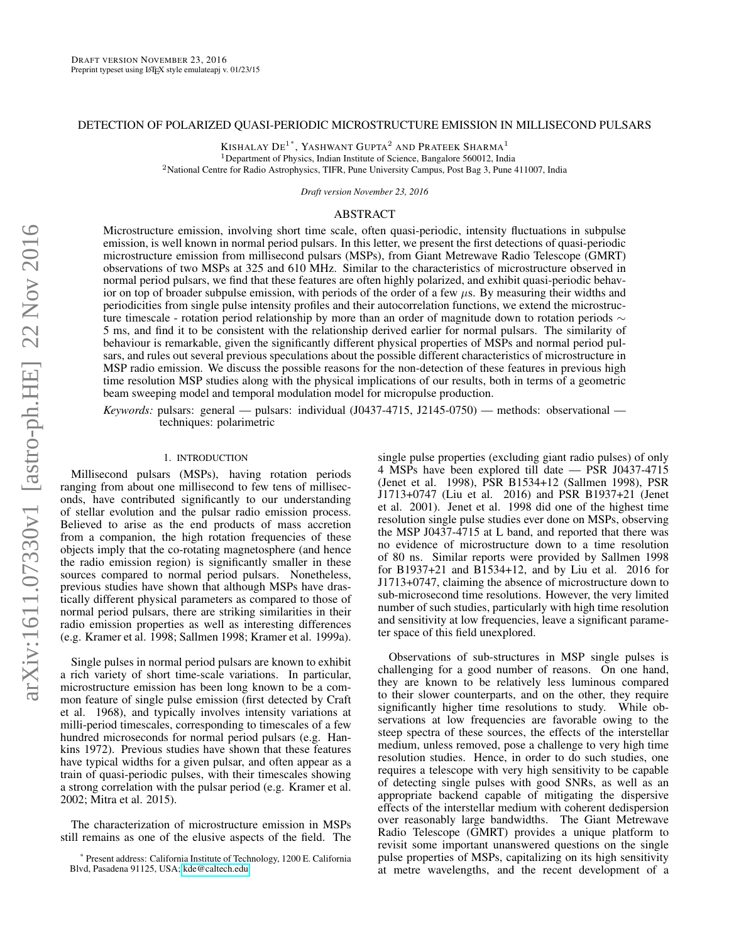# DETECTION OF POLARIZED QUASI-PERIODIC MICROSTRUCTURE EMISSION IN MILLISECOND PULSARS

KISHALAY  $\mathrm{DE}^{1\text{ *}},$  Yashwant Gupta $^2$  and Prateek Sharma $^1$ <sup>1</sup>Department of Physics, Indian Institute of Science, Bangalore 560012, India <sup>2</sup>National Centre for Radio Astrophysics, TIFR, Pune University Campus, Post Bag 3, Pune 411007, India

*Draft version November 23, 2016*

## ABSTRACT

Microstructure emission, involving short time scale, often quasi-periodic, intensity fluctuations in subpulse emission, is well known in normal period pulsars. In this letter, we present the first detections of quasi-periodic microstructure emission from millisecond pulsars (MSPs), from Giant Metrewave Radio Telescope (GMRT) observations of two MSPs at 325 and 610 MHz. Similar to the characteristics of microstructure observed in normal period pulsars, we find that these features are often highly polarized, and exhibit quasi-periodic behavior on top of broader subpulse emission, with periods of the order of a few  $\mu$ s. By measuring their widths and periodicities from single pulse intensity profiles and their autocorrelation functions, we extend the microstructure timescale - rotation period relationship by more than an order of magnitude down to rotation periods  $\sim$ 5 ms, and find it to be consistent with the relationship derived earlier for normal pulsars. The similarity of behaviour is remarkable, given the significantly different physical properties of MSPs and normal period pulsars, and rules out several previous speculations about the possible different characteristics of microstructure in MSP radio emission. We discuss the possible reasons for the non-detection of these features in previous high time resolution MSP studies along with the physical implications of our results, both in terms of a geometric beam sweeping model and temporal modulation model for micropulse production.

*Keywords:* pulsars: general — pulsars: individual (J0437-4715, J2145-0750) — methods: observational techniques: polarimetric

### 1. INTRODUCTION

Millisecond pulsars (MSPs), having rotation periods ranging from about one millisecond to few tens of milliseconds, have contributed significantly to our understanding of stellar evolution and the pulsar radio emission process. Believed to arise as the end products of mass accretion from a companion, the high rotation frequencies of these objects imply that the co-rotating magnetosphere (and hence the radio emission region) is significantly smaller in these sources compared to normal period pulsars. Nonetheless, previous studies have shown that although MSPs have drastically different physical parameters as compared to those of normal period pulsars, there are striking similarities in their radio emission properties as well as interesting differences (e.g. Kramer et al. 1998; Sallmen 1998; Kramer et al. 1999a).

Single pulses in normal period pulsars are known to exhibit a rich variety of short time-scale variations. In particular, microstructure emission has been long known to be a common feature of single pulse emission (first detected by Craft et al. 1968), and typically involves intensity variations at milli-period timescales, corresponding to timescales of a few hundred microseconds for normal period pulsars (e.g. Hankins 1972). Previous studies have shown that these features have typical widths for a given pulsar, and often appear as a train of quasi-periodic pulses, with their timescales showing a strong correlation with the pulsar period (e.g. Kramer et al. 2002; Mitra et al. 2015).

The characterization of microstructure emission in MSPs still remains as one of the elusive aspects of the field. The

single pulse properties (excluding giant radio pulses) of only 4 MSPs have been explored till date — PSR J0437-4715 (Jenet et al. 1998), PSR B1534+12 (Sallmen 1998), PSR J1713+0747 (Liu et al. 2016) and PSR B1937+21 (Jenet et al. 2001). Jenet et al. 1998 did one of the highest time resolution single pulse studies ever done on MSPs, observing the MSP J0437-4715 at L band, and reported that there was no evidence of microstructure down to a time resolution of 80 ns. Similar reports were provided by Sallmen 1998 for B1937+21 and B1534+12, and by Liu et al. 2016 for J1713+0747, claiming the absence of microstructure down to sub-microsecond time resolutions. However, the very limited number of such studies, particularly with high time resolution and sensitivity at low frequencies, leave a significant parameter space of this field unexplored.

Observations of sub-structures in MSP single pulses is challenging for a good number of reasons. On one hand, they are known to be relatively less luminous compared to their slower counterparts, and on the other, they require significantly higher time resolutions to study. While observations at low frequencies are favorable owing to the steep spectra of these sources, the effects of the interstellar medium, unless removed, pose a challenge to very high time resolution studies. Hence, in order to do such studies, one requires a telescope with very high sensitivity to be capable of detecting single pulses with good SNRs, as well as an appropriate backend capable of mitigating the dispersive effects of the interstellar medium with coherent dedispersion over reasonably large bandwidths. The Giant Metrewave Radio Telescope (GMRT) provides a unique platform to revisit some important unanswered questions on the single pulse properties of MSPs, capitalizing on its high sensitivity at metre wavelengths, and the recent development of a

Present address: California Institute of Technology, 1200 E. California Blvd, Pasadena 91125, USA;<kde@caltech.edu>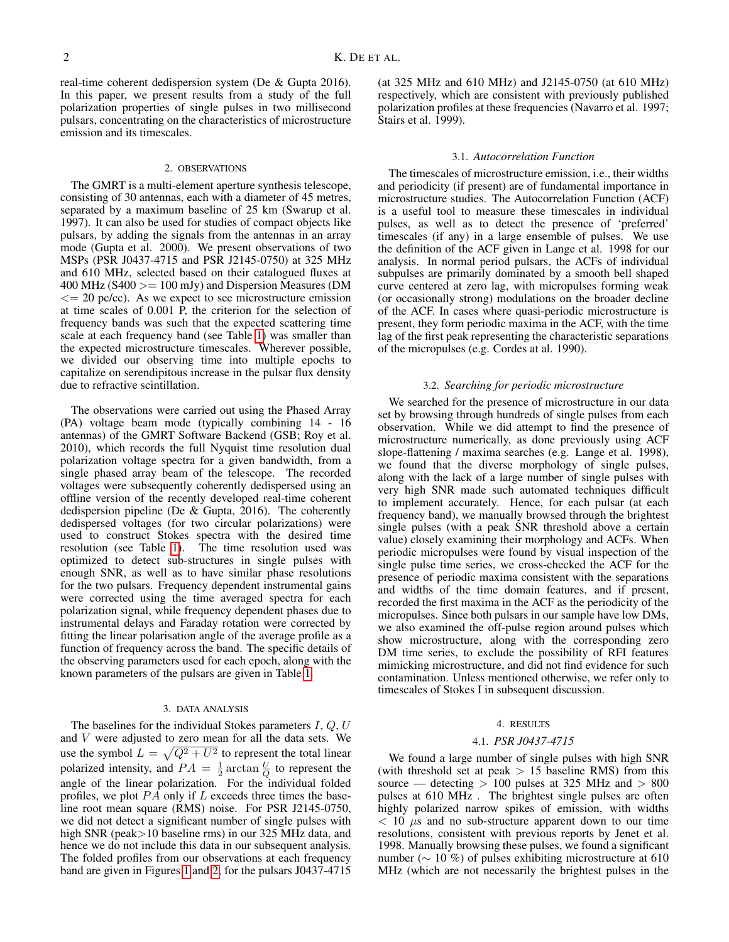real-time coherent dedispersion system (De & Gupta 2016). In this paper, we present results from a study of the full polarization properties of single pulses in two millisecond pulsars, concentrating on the characteristics of microstructure emission and its timescales.

### 2. OBSERVATIONS

The GMRT is a multi-element aperture synthesis telescope, consisting of 30 antennas, each with a diameter of 45 metres, separated by a maximum baseline of 25 km (Swarup et al. 1997). It can also be used for studies of compact objects like pulsars, by adding the signals from the antennas in an array mode (Gupta et al. 2000). We present observations of two MSPs (PSR J0437-4715 and PSR J2145-0750) at 325 MHz and 610 MHz, selected based on their catalogued fluxes at  $400$  MHz (S400  $>= 100$  mJy) and Dispersion Measures (DM  $\epsilon$  = 20 pc/cc). As we expect to see microstructure emission at time scales of 0.001 P, the criterion for the selection of frequency bands was such that the expected scattering time scale at each frequency band (see Table [1\)](#page-2-0) was smaller than the expected microstructure timescales. Wherever possible, we divided our observing time into multiple epochs to capitalize on serendipitous increase in the pulsar flux density due to refractive scintillation.

The observations were carried out using the Phased Array (PA) voltage beam mode (typically combining 14 - 16 antennas) of the GMRT Software Backend (GSB; Roy et al. 2010), which records the full Nyquist time resolution dual polarization voltage spectra for a given bandwidth, from a single phased array beam of the telescope. The recorded voltages were subsequently coherently dedispersed using an offline version of the recently developed real-time coherent dedispersion pipeline (De & Gupta, 2016). The coherently dedispersed voltages (for two circular polarizations) were used to construct Stokes spectra with the desired time resolution (see Table [1\)](#page-2-0). The time resolution used was optimized to detect sub-structures in single pulses with enough SNR, as well as to have similar phase resolutions for the two pulsars. Frequency dependent instrumental gains were corrected using the time averaged spectra for each polarization signal, while frequency dependent phases due to instrumental delays and Faraday rotation were corrected by fitting the linear polarisation angle of the average profile as a function of frequency across the band. The specific details of the observing parameters used for each epoch, along with the known parameters of the pulsars are given in Table [1.](#page-2-0)

#### 3. DATA ANALYSIS

The baselines for the individual Stokes parameters  $I, Q, U$ and  $V$  were adjusted to zero mean for all the data sets. We use the symbol  $L = \sqrt{Q^2 + U^2}$  to represent the total linear polarized intensity, and  $PA = \frac{1}{2} \arctan \frac{U}{Q}$  to represent the angle of the linear polarization. For the individual folded profiles, we plot  $P\overline{A}$  only if L exceeds three times the baseline root mean square (RMS) noise. For PSR J2145-0750, we did not detect a significant number of single pulses with high SNR (peak > 10 baseline rms) in our 325 MHz data, and hence we do not include this data in our subsequent analysis. The folded profiles from our observations at each frequency band are given in Figures [1](#page-3-0) and [2,](#page-3-1) for the pulsars J0437-4715

(at 325 MHz and 610 MHz) and J2145-0750 (at 610 MHz) respectively, which are consistent with previously published polarization profiles at these frequencies (Navarro et al. 1997; Stairs et al. 1999).

## 3.1. *Autocorrelation Function*

The timescales of microstructure emission, i.e., their widths and periodicity (if present) are of fundamental importance in microstructure studies. The Autocorrelation Function (ACF) is a useful tool to measure these timescales in individual pulses, as well as to detect the presence of 'preferred' timescales (if any) in a large ensemble of pulses. We use the definition of the ACF given in Lange et al. 1998 for our analysis. In normal period pulsars, the ACFs of individual subpulses are primarily dominated by a smooth bell shaped curve centered at zero lag, with micropulses forming weak (or occasionally strong) modulations on the broader decline of the ACF. In cases where quasi-periodic microstructure is present, they form periodic maxima in the ACF, with the time lag of the first peak representing the characteristic separations of the micropulses (e.g. Cordes at al. 1990).

### 3.2. *Searching for periodic microstructure*

We searched for the presence of microstructure in our data set by browsing through hundreds of single pulses from each observation. While we did attempt to find the presence of microstructure numerically, as done previously using ACF slope-flattening / maxima searches (e.g. Lange et al. 1998), we found that the diverse morphology of single pulses, along with the lack of a large number of single pulses with very high SNR made such automated techniques difficult to implement accurately. Hence, for each pulsar (at each frequency band), we manually browsed through the brightest single pulses (with a peak SNR threshold above a certain value) closely examining their morphology and ACFs. When periodic micropulses were found by visual inspection of the single pulse time series, we cross-checked the ACF for the presence of periodic maxima consistent with the separations and widths of the time domain features, and if present, recorded the first maxima in the ACF as the periodicity of the micropulses. Since both pulsars in our sample have low DMs, we also examined the off-pulse region around pulses which show microstructure, along with the corresponding zero DM time series, to exclude the possibility of RFI features mimicking microstructure, and did not find evidence for such contamination. Unless mentioned otherwise, we refer only to timescales of Stokes I in subsequent discussion.

#### 4. RESULTS

### 4.1. *PSR J0437-4715*

We found a large number of single pulses with high SNR (with threshold set at peak  $> 15$  baseline RMS) from this source — detecting  $> 100$  pulses at 325 MHz and  $> 800$ pulses at 610 MHz . The brightest single pulses are often highly polarized narrow spikes of emission, with widths  $<$  10  $\mu$ s and no sub-structure apparent down to our time resolutions, consistent with previous reports by Jenet et al. 1998. Manually browsing these pulses, we found a significant number (∼ 10 %) of pulses exhibiting microstructure at 610 MHz (which are not necessarily the brightest pulses in the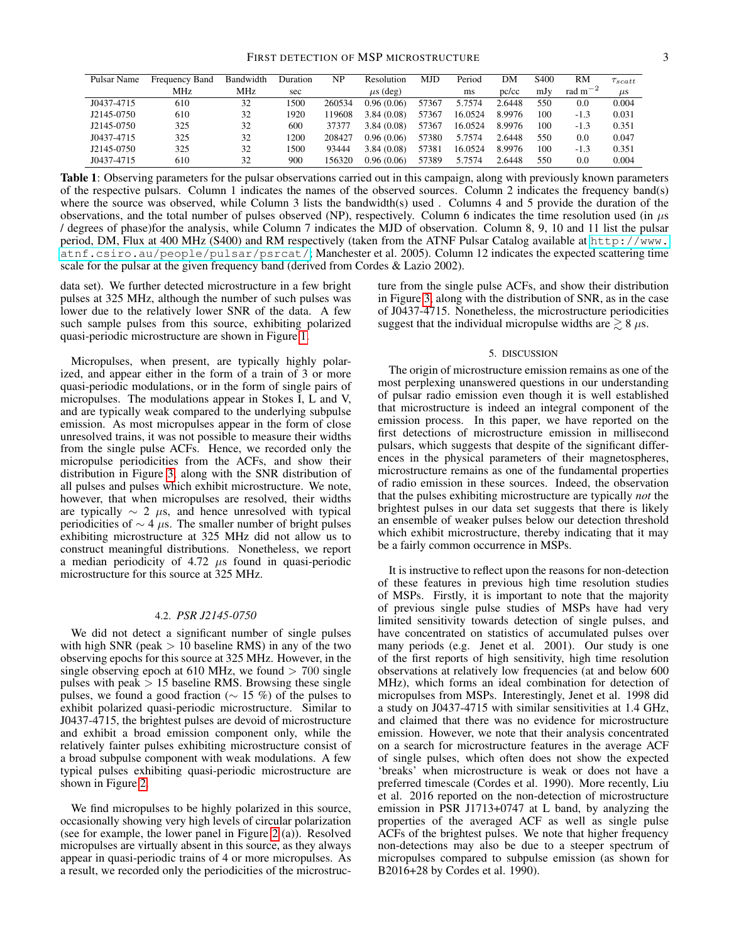<span id="page-2-0"></span>

| Pulsar Name | <b>Frequency Band</b> | Bandwidth | Duration | NP     | Resolution    | <b>MJD</b> | Period  | DΜ     | S <sub>400</sub> | RM           | $\tau_{scatt}$ |
|-------------|-----------------------|-----------|----------|--------|---------------|------------|---------|--------|------------------|--------------|----------------|
|             | <b>MHz</b>            | MHz       | sec      |        | $\mu$ s (deg) |            | ms      | pc/cc  | mJy              | rad $m^{-2}$ | $\mu$ s        |
| J0437-4715  | 610                   | 32        | 1500     | 260534 | 0.96(0.06)    | 57367      | 5.7574  | 2.6448 | 550              | $0.0\,$      | 0.004          |
| J2145-0750  | 610                   | 32        | 1920     | 19608  | 3.84(0.08)    | 57367      | 16.0524 | 8.9976 | 100              | $-1.3$       | 0.031          |
| J2145-0750  | 325                   | 32        | 600      | 37377  | 3.84(0.08)    | 57367      | 16.0524 | 8.9976 | 100              | $-1.3$       | 0.351          |
| J0437-4715  | 325                   | 32        | 1200     | 208427 | 0.96(0.06)    | 57380      | 5.7574  | 2.6448 | 550              | $0.0\,$      | 0.047          |
| J2145-0750  | 325                   | 32        | 1500     | 93444  | 3.84(0.08)    | 57381      | 16.0524 | 8.9976 | 100              | $-1.3$       | 0.351          |
| J0437-4715  | 610                   | 32        | 900      | 56320  | 0.96(0.06)    | 57389      | 5.7574  | 2.6448 | 550              | 0.0          | 0.004          |

Table 1: Observing parameters for the pulsar observations carried out in this campaign, along with previously known parameters of the respective pulsars. Column 1 indicates the names of the observed sources. Column 2 indicates the frequency band(s) where the source was observed, while Column 3 lists the bandwidth(s) used. Columns 4 and 5 provide the duration of the observations, and the total number of pulses observed (NP), respectively. Column 6 indicates the time resolution used (in  $\mu$ s / degrees of phase)for the analysis, while Column 7 indicates the MJD of observation. Column 8, 9, 10 and 11 list the pulsar period, DM, Flux at 400 MHz (S400) and RM respectively (taken from the ATNF Pulsar Catalog available at [http://www.](http://www.atnf.csiro.au/people/pulsar/psrcat/) [atnf.csiro.au/people/pulsar/psrcat/](http://www.atnf.csiro.au/people/pulsar/psrcat/); Manchester et al. 2005). Column 12 indicates the expected scattering time scale for the pulsar at the given frequency band (derived from Cordes & Lazio 2002).

data set). We further detected microstructure in a few bright pulses at 325 MHz, although the number of such pulses was lower due to the relatively lower SNR of the data. A few such sample pulses from this source, exhibiting polarized quasi-periodic microstructure are shown in Figure [1.](#page-3-0)

Micropulses, when present, are typically highly polarized, and appear either in the form of a train of 3 or more quasi-periodic modulations, or in the form of single pairs of micropulses. The modulations appear in Stokes I, L and V, and are typically weak compared to the underlying subpulse emission. As most micropulses appear in the form of close unresolved trains, it was not possible to measure their widths from the single pulse ACFs. Hence, we recorded only the micropulse periodicities from the ACFs, and show their distribution in Figure [3,](#page-4-0) along with the SNR distribution of all pulses and pulses which exhibit microstructure. We note, however, that when micropulses are resolved, their widths are typically  $\sim 2 \mu s$ , and hence unresolved with typical periodicities of  $\sim$  4  $\mu$ s. The smaller number of bright pulses exhibiting microstructure at 325 MHz did not allow us to construct meaningful distributions. Nonetheless, we report a median periodicity of 4.72  $\mu$ s found in quasi-periodic microstructure for this source at 325 MHz.

## 4.2. *PSR J2145-0750*

We did not detect a significant number of single pulses with high SNR (peak  $> 10$  baseline RMS) in any of the two observing epochs for this source at 325 MHz. However, in the single observing epoch at 610 MHz, we found  $> 700$  single pulses with peak  $> 15$  baseline RMS. Browsing these single pulses, we found a good fraction ( $\sim$  15 %) of the pulses to exhibit polarized quasi-periodic microstructure. Similar to J0437-4715, the brightest pulses are devoid of microstructure and exhibit a broad emission component only, while the relatively fainter pulses exhibiting microstructure consist of a broad subpulse component with weak modulations. A few typical pulses exhibiting quasi-periodic microstructure are shown in Figure [2.](#page-3-1)

We find micropulses to be highly polarized in this source, occasionally showing very high levels of circular polarization (see for example, the lower panel in Figure [2](#page-3-1) (a)). Resolved micropulses are virtually absent in this source, as they always appear in quasi-periodic trains of 4 or more micropulses. As a result, we recorded only the periodicities of the microstructure from the single pulse ACFs, and show their distribution in Figure [3,](#page-4-0) along with the distribution of SNR, as in the case of J0437-4715. Nonetheless, the microstructure periodicities suggest that the individual micropulse widths are  $\geq 8 \mu s$ .

## 5. DISCUSSION

The origin of microstructure emission remains as one of the most perplexing unanswered questions in our understanding of pulsar radio emission even though it is well established that microstructure is indeed an integral component of the emission process. In this paper, we have reported on the first detections of microstructure emission in millisecond pulsars, which suggests that despite of the significant differences in the physical parameters of their magnetospheres, microstructure remains as one of the fundamental properties of radio emission in these sources. Indeed, the observation that the pulses exhibiting microstructure are typically *not* the brightest pulses in our data set suggests that there is likely an ensemble of weaker pulses below our detection threshold which exhibit microstructure, thereby indicating that it may be a fairly common occurrence in MSPs.

It is instructive to reflect upon the reasons for non-detection of these features in previous high time resolution studies of MSPs. Firstly, it is important to note that the majority of previous single pulse studies of MSPs have had very limited sensitivity towards detection of single pulses, and have concentrated on statistics of accumulated pulses over many periods (e.g. Jenet et al. 2001). Our study is one of the first reports of high sensitivity, high time resolution observations at relatively low frequencies (at and below 600 MHz), which forms an ideal combination for detection of micropulses from MSPs. Interestingly, Jenet et al. 1998 did a study on J0437-4715 with similar sensitivities at 1.4 GHz, and claimed that there was no evidence for microstructure emission. However, we note that their analysis concentrated on a search for microstructure features in the average ACF of single pulses, which often does not show the expected 'breaks' when microstructure is weak or does not have a preferred timescale (Cordes et al. 1990). More recently, Liu et al. 2016 reported on the non-detection of microstructure emission in PSR J1713+0747 at L band, by analyzing the properties of the averaged ACF as well as single pulse ACFs of the brightest pulses. We note that higher frequency non-detections may also be due to a steeper spectrum of micropulses compared to subpulse emission (as shown for B2016+28 by Cordes et al. 1990).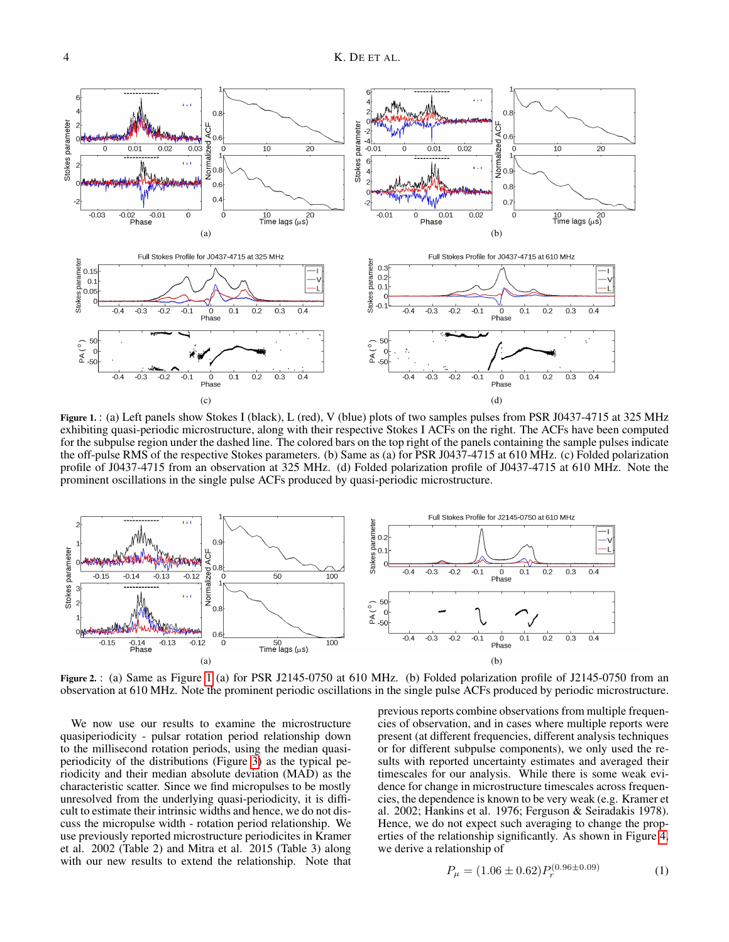<span id="page-3-0"></span>

Figure 1.: (a) Left panels show Stokes I (black), L (red), V (blue) plots of two samples pulses from PSR J0437-4715 at 325 MHz exhibiting quasi-periodic microstructure, along with their respective Stokes I ACFs on the right. The ACFs have been computed for the subpulse region under the dashed line. The colored bars on the top right of the panels containing the sample pulses indicate the off-pulse RMS of the respective Stokes parameters. (b) Same as (a) for PSR J0437-4715 at 610 MHz. (c) Folded polarization profile of J0437-4715 from an observation at 325 MHz. (d) Folded polarization profile of J0437-4715 at 610 MHz. Note the prominent oscillations in the single pulse ACFs produced by quasi-periodic microstructure.

<span id="page-3-1"></span>

Figure 2. : (a) Same as Figure [1](#page-3-0) (a) for PSR J2145-0750 at 610 MHz. (b) Folded polarization profile of J2145-0750 from an observation at 610 MHz. Note the prominent periodic oscillations in the single pulse ACFs produced by periodic microstructure.

We now use our results to examine the microstructure quasiperiodicity - pulsar rotation period relationship down to the millisecond rotation periods, using the median quasiperiodicity of the distributions (Figure [3\)](#page-4-0) as the typical periodicity and their median absolute deviation (MAD) as the characteristic scatter. Since we find micropulses to be mostly unresolved from the underlying quasi-periodicity, it is difficult to estimate their intrinsic widths and hence, we do not discuss the micropulse width - rotation period relationship. We use previously reported microstructure periodicites in Kramer et al. 2002 (Table 2) and Mitra et al. 2015 (Table 3) along with our new results to extend the relationship. Note that

previous reports combine observations from multiple frequencies of observation, and in cases where multiple reports were present (at different frequencies, different analysis techniques or for different subpulse components), we only used the results with reported uncertainty estimates and averaged their timescales for our analysis. While there is some weak evidence for change in microstructure timescales across frequencies, the dependence is known to be very weak (e.g. Kramer et al. 2002; Hankins et al. 1976; Ferguson & Seiradakis 1978). Hence, we do not expect such averaging to change the properties of the relationship significantly. As shown in Figure [4,](#page-5-0) we derive a relationship of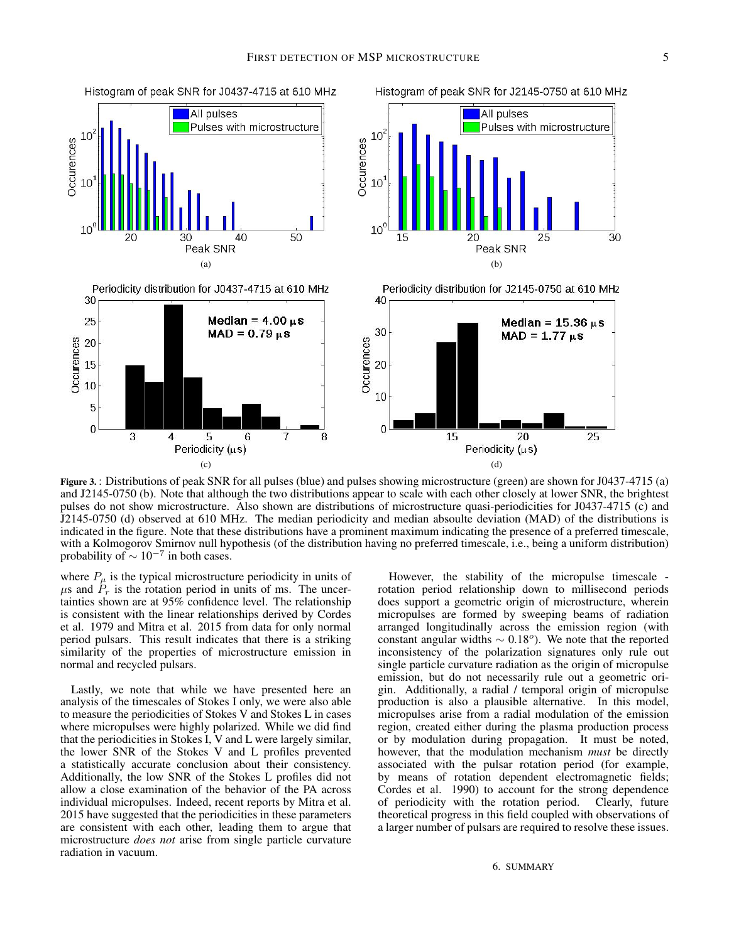<span id="page-4-0"></span>

Figure 3. : Distributions of peak SNR for all pulses (blue) and pulses showing microstructure (green) are shown for J0437-4715 (a) and J2145-0750 (b). Note that although the two distributions appear to scale with each other closely at lower SNR, the brightest pulses do not show microstructure. Also shown are distributions of microstructure quasi-periodicities for J0437-4715 (c) and J2145-0750 (d) observed at 610 MHz. The median periodicity and median absoulte deviation (MAD) of the distributions is indicated in the figure. Note that these distributions have a prominent maximum indicating the presence of a preferred timescale, with a Kolmogorov Smirnov null hypothesis (of the distribution having no preferred timescale, i.e., being a uniform distribution) probability of  $\sim 10^{-7}$  in both cases.

where  $P_{\mu}$  is the typical microstructure periodicity in units of  $\mu$ s and  $\tilde{P}_r$  is the rotation period in units of ms. The uncertainties shown are at 95% confidence level. The relationship is consistent with the linear relationships derived by Cordes et al. 1979 and Mitra et al. 2015 from data for only normal period pulsars. This result indicates that there is a striking similarity of the properties of microstructure emission in normal and recycled pulsars.

Lastly, we note that while we have presented here an analysis of the timescales of Stokes I only, we were also able to measure the periodicities of Stokes V and Stokes L in cases where micropulses were highly polarized. While we did find that the periodicities in Stokes I, V and L were largely similar, the lower SNR of the Stokes V and L profiles prevented a statistically accurate conclusion about their consistency. Additionally, the low SNR of the Stokes L profiles did not allow a close examination of the behavior of the PA across individual micropulses. Indeed, recent reports by Mitra et al. 2015 have suggested that the periodicities in these parameters are consistent with each other, leading them to argue that microstructure *does not* arise from single particle curvature radiation in vacuum.

However, the stability of the micropulse timescale rotation period relationship down to millisecond periods does support a geometric origin of microstructure, wherein micropulses are formed by sweeping beams of radiation arranged longitudinally across the emission region (with constant angular widths  $\sim 0.18^\circ$ ). We note that the reported inconsistency of the polarization signatures only rule out single particle curvature radiation as the origin of micropulse emission, but do not necessarily rule out a geometric origin. Additionally, a radial / temporal origin of micropulse production is also a plausible alternative. In this model, micropulses arise from a radial modulation of the emission region, created either during the plasma production process or by modulation during propagation. It must be noted, however, that the modulation mechanism *must* be directly associated with the pulsar rotation period (for example, by means of rotation dependent electromagnetic fields; Cordes et al. 1990) to account for the strong dependence of periodicity with the rotation period. Clearly, future theoretical progress in this field coupled with observations of a larger number of pulsars are required to resolve these issues.

6. SUMMARY